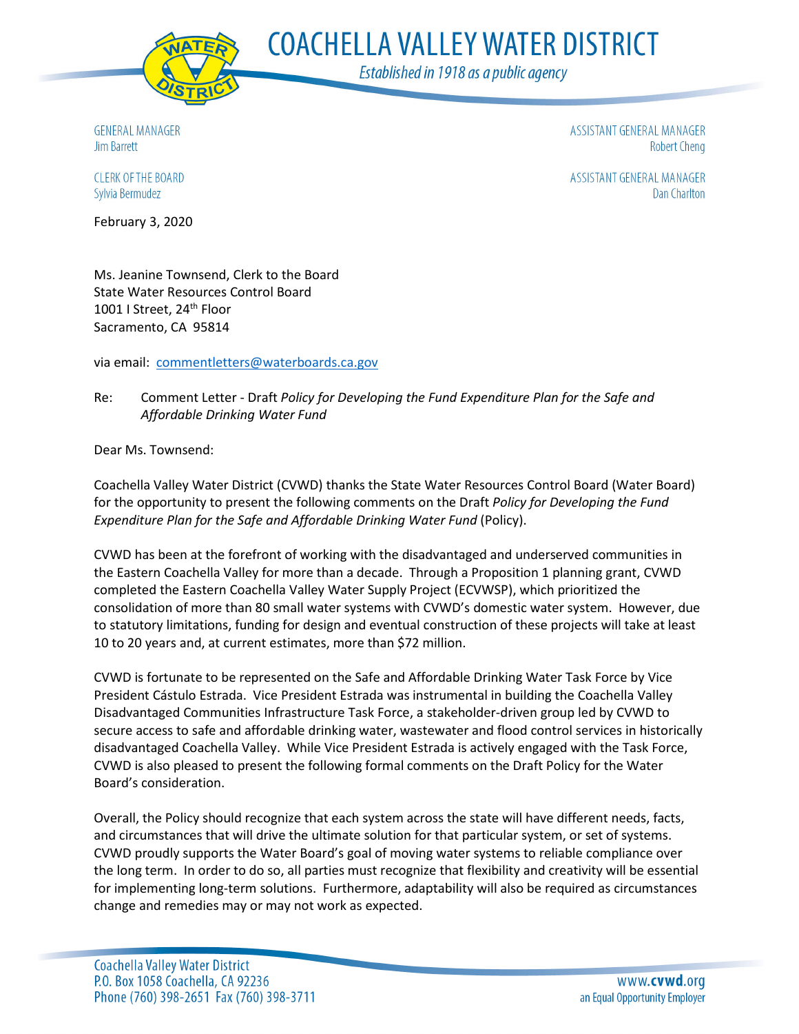

**COACHELLA VALLEY WATER DISTRICT** 

Established in 1918 as a public agency

**GENERAL MANAGER** Jim Barrett

ASSISTANT GENERAL MANAGER **Robert Cheng** 

ASSISTANT GENERAL MANAGER **Dan Charlton** 

**CLERK OF THE BOARD** Sylvia Bermudez

February 3, 2020

Ms. Jeanine Townsend, Clerk to the Board State Water Resources Control Board 1001 I Street, 24<sup>th</sup> Floor Sacramento, CA 95814

via email: [commentletters@waterboards.ca.gov](mailto:commentletters@waterboards.ca.gov)

### Re: Comment Letter - Draft *Policy for Developing the Fund Expenditure Plan for the Safe and Affordable Drinking Water Fund*

Dear Ms. Townsend:

Coachella Valley Water District (CVWD) thanks the State Water Resources Control Board (Water Board) for the opportunity to present the following comments on the Draft *Policy for Developing the Fund Expenditure Plan for the Safe and Affordable Drinking Water Fund* (Policy).

CVWD has been at the forefront of working with the disadvantaged and underserved communities in the Eastern Coachella Valley for more than a decade. Through a Proposition 1 planning grant, CVWD completed the Eastern Coachella Valley Water Supply Project (ECVWSP), which prioritized the consolidation of more than 80 small water systems with CVWD's domestic water system. However, due to statutory limitations, funding for design and eventual construction of these projects will take at least 10 to 20 years and, at current estimates, more than \$72 million.

CVWD is fortunate to be represented on the Safe and Affordable Drinking Water Task Force by Vice President Cástulo Estrada. Vice President Estrada was instrumental in building the Coachella Valley Disadvantaged Communities Infrastructure Task Force, a stakeholder-driven group led by CVWD to secure access to safe and affordable drinking water, wastewater and flood control services in historically disadvantaged Coachella Valley. While Vice President Estrada is actively engaged with the Task Force, CVWD is also pleased to present the following formal comments on the Draft Policy for the Water Board's consideration.

Overall, the Policy should recognize that each system across the state will have different needs, facts, and circumstances that will drive the ultimate solution for that particular system, or set of systems. CVWD proudly supports the Water Board's goal of moving water systems to reliable compliance over the long term. In order to do so, all parties must recognize that flexibility and creativity will be essential for implementing long-term solutions. Furthermore, adaptability will also be required as circumstances change and remedies may or may not work as expected.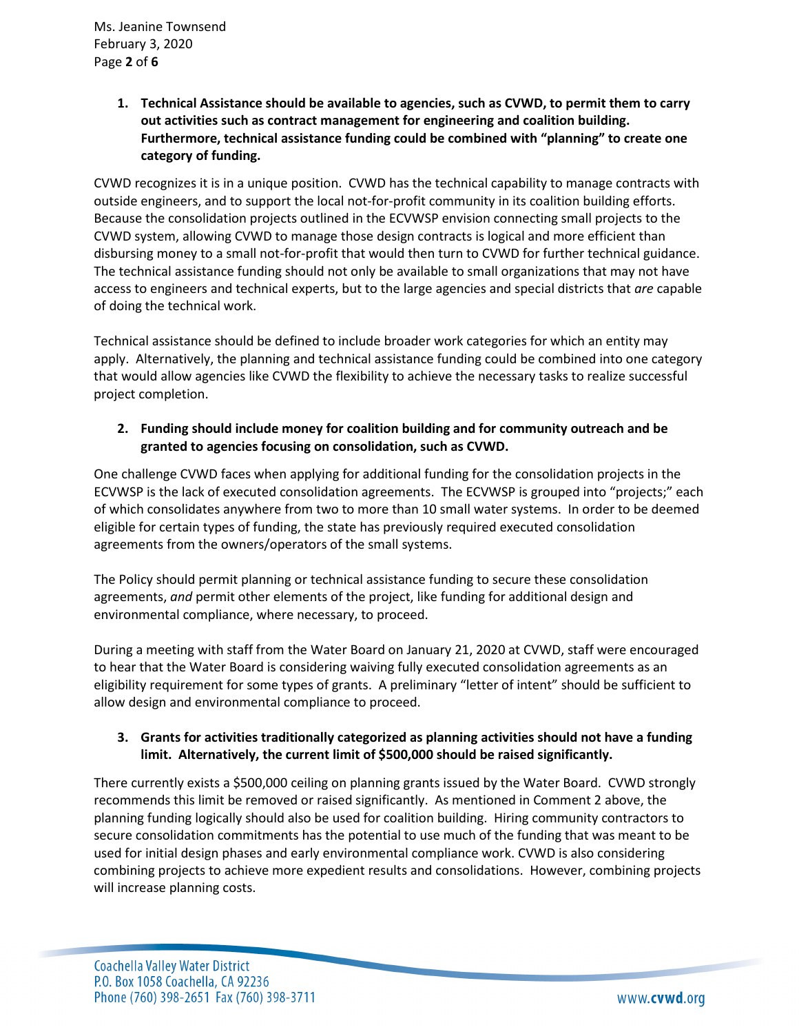**1. Technical Assistance should be available to agencies, such as CVWD, to permit them to carry out activities such as contract management for engineering and coalition building. Furthermore, technical assistance funding could be combined with "planning" to create one category of funding.** 

CVWD recognizes it is in a unique position. CVWD has the technical capability to manage contracts with outside engineers, and to support the local not-for-profit community in its coalition building efforts. Because the consolidation projects outlined in the ECVWSP envision connecting small projects to the CVWD system, allowing CVWD to manage those design contracts is logical and more efficient than disbursing money to a small not-for-profit that would then turn to CVWD for further technical guidance. The technical assistance funding should not only be available to small organizations that may not have access to engineers and technical experts, but to the large agencies and special districts that *are* capable of doing the technical work.

Technical assistance should be defined to include broader work categories for which an entity may apply. Alternatively, the planning and technical assistance funding could be combined into one category that would allow agencies like CVWD the flexibility to achieve the necessary tasks to realize successful project completion.

# **2. Funding should include money for coalition building and for community outreach and be granted to agencies focusing on consolidation, such as CVWD.**

One challenge CVWD faces when applying for additional funding for the consolidation projects in the ECVWSP is the lack of executed consolidation agreements. The ECVWSP is grouped into "projects;" each of which consolidates anywhere from two to more than 10 small water systems. In order to be deemed eligible for certain types of funding, the state has previously required executed consolidation agreements from the owners/operators of the small systems.

The Policy should permit planning or technical assistance funding to secure these consolidation agreements, *and* permit other elements of the project, like funding for additional design and environmental compliance, where necessary, to proceed.

During a meeting with staff from the Water Board on January 21, 2020 at CVWD, staff were encouraged to hear that the Water Board is considering waiving fully executed consolidation agreements as an eligibility requirement for some types of grants. A preliminary "letter of intent" should be sufficient to allow design and environmental compliance to proceed.

# **3. Grants for activities traditionally categorized as planning activities should not have a funding limit. Alternatively, the current limit of \$500,000 should be raised significantly.**

There currently exists a \$500,000 ceiling on planning grants issued by the Water Board. CVWD strongly recommends this limit be removed or raised significantly. As mentioned in Comment 2 above, the planning funding logically should also be used for coalition building. Hiring community contractors to secure consolidation commitments has the potential to use much of the funding that was meant to be used for initial design phases and early environmental compliance work. CVWD is also considering combining projects to achieve more expedient results and consolidations. However, combining projects will increase planning costs.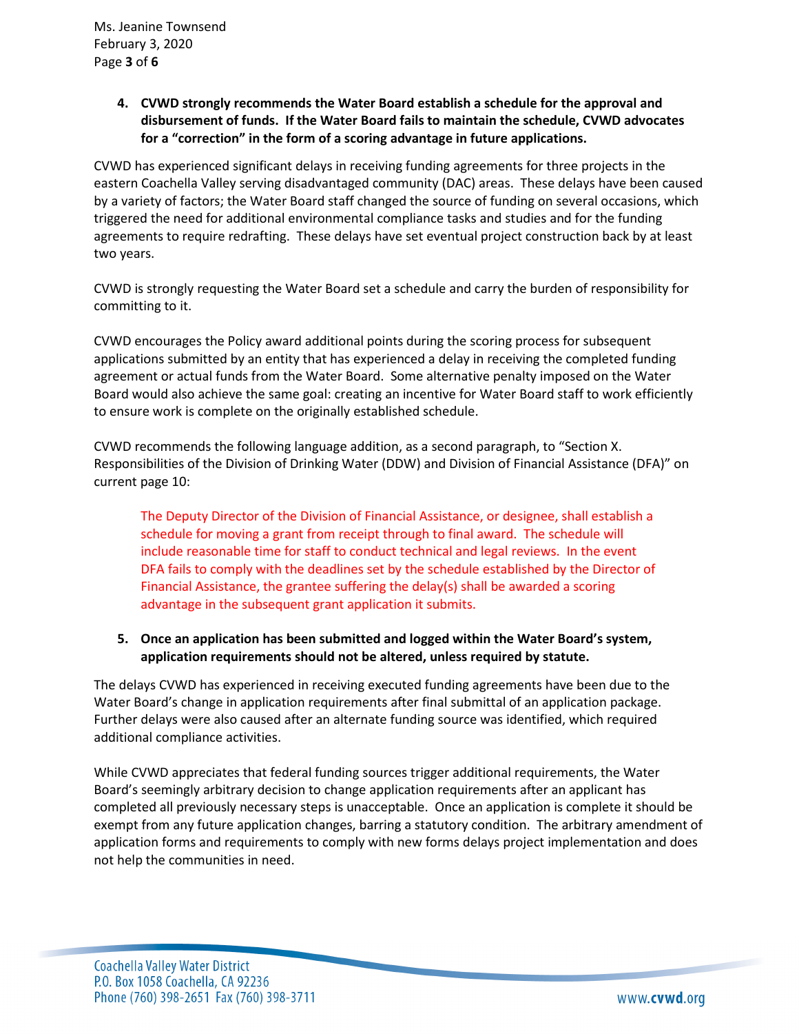**4. CVWD strongly recommends the Water Board establish a schedule for the approval and disbursement of funds. If the Water Board fails to maintain the schedule, CVWD advocates for a "correction" in the form of a scoring advantage in future applications.** 

CVWD has experienced significant delays in receiving funding agreements for three projects in the eastern Coachella Valley serving disadvantaged community (DAC) areas. These delays have been caused by a variety of factors; the Water Board staff changed the source of funding on several occasions, which triggered the need for additional environmental compliance tasks and studies and for the funding agreements to require redrafting. These delays have set eventual project construction back by at least two years.

CVWD is strongly requesting the Water Board set a schedule and carry the burden of responsibility for committing to it.

CVWD encourages the Policy award additional points during the scoring process for subsequent applications submitted by an entity that has experienced a delay in receiving the completed funding agreement or actual funds from the Water Board. Some alternative penalty imposed on the Water Board would also achieve the same goal: creating an incentive for Water Board staff to work efficiently to ensure work is complete on the originally established schedule.

CVWD recommends the following language addition, as a second paragraph, to "Section X. Responsibilities of the Division of Drinking Water (DDW) and Division of Financial Assistance (DFA)" on current page 10:

The Deputy Director of the Division of Financial Assistance, or designee, shall establish a schedule for moving a grant from receipt through to final award. The schedule will include reasonable time for staff to conduct technical and legal reviews. In the event DFA fails to comply with the deadlines set by the schedule established by the Director of Financial Assistance, the grantee suffering the delay(s) shall be awarded a scoring advantage in the subsequent grant application it submits.

### **5. Once an application has been submitted and logged within the Water Board's system, application requirements should not be altered, unless required by statute.**

The delays CVWD has experienced in receiving executed funding agreements have been due to the Water Board's change in application requirements after final submittal of an application package. Further delays were also caused after an alternate funding source was identified, which required additional compliance activities.

While CVWD appreciates that federal funding sources trigger additional requirements, the Water Board's seemingly arbitrary decision to change application requirements after an applicant has completed all previously necessary steps is unacceptable. Once an application is complete it should be exempt from any future application changes, barring a statutory condition. The arbitrary amendment of application forms and requirements to comply with new forms delays project implementation and does not help the communities in need.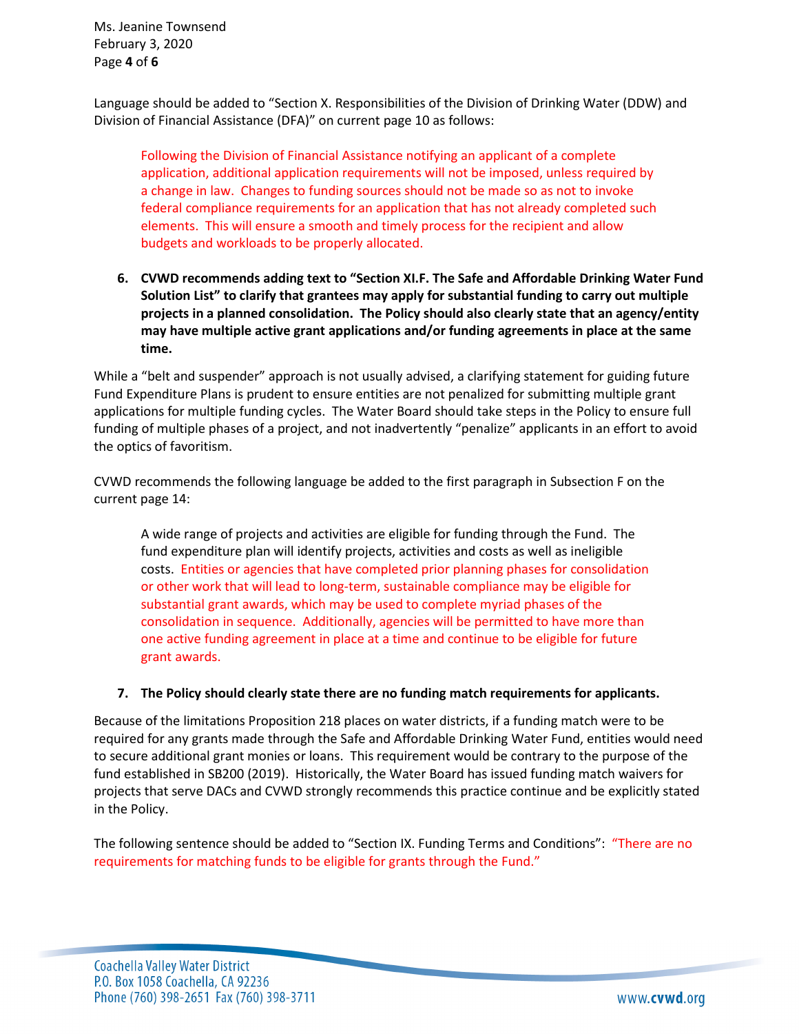Ms. Jeanine Townsend February 3, 2020 Page **4** of **6**

Language should be added to "Section X. Responsibilities of the Division of Drinking Water (DDW) and Division of Financial Assistance (DFA)" on current page 10 as follows:

Following the Division of Financial Assistance notifying an applicant of a complete application, additional application requirements will not be imposed, unless required by a change in law. Changes to funding sources should not be made so as not to invoke federal compliance requirements for an application that has not already completed such elements. This will ensure a smooth and timely process for the recipient and allow budgets and workloads to be properly allocated.

**6. CVWD recommends adding text to "Section XI.F. The Safe and Affordable Drinking Water Fund Solution List" to clarify that grantees may apply for substantial funding to carry out multiple projects in a planned consolidation. The Policy should also clearly state that an agency/entity may have multiple active grant applications and/or funding agreements in place at the same time.** 

While a "belt and suspender" approach is not usually advised, a clarifying statement for guiding future Fund Expenditure Plans is prudent to ensure entities are not penalized for submitting multiple grant applications for multiple funding cycles. The Water Board should take steps in the Policy to ensure full funding of multiple phases of a project, and not inadvertently "penalize" applicants in an effort to avoid the optics of favoritism.

CVWD recommends the following language be added to the first paragraph in Subsection F on the current page 14:

A wide range of projects and activities are eligible for funding through the Fund. The fund expenditure plan will identify projects, activities and costs as well as ineligible costs. Entities or agencies that have completed prior planning phases for consolidation or other work that will lead to long-term, sustainable compliance may be eligible for substantial grant awards, which may be used to complete myriad phases of the consolidation in sequence. Additionally, agencies will be permitted to have more than one active funding agreement in place at a time and continue to be eligible for future grant awards.

### **7. The Policy should clearly state there are no funding match requirements for applicants.**

Because of the limitations Proposition 218 places on water districts, if a funding match were to be required for any grants made through the Safe and Affordable Drinking Water Fund, entities would need to secure additional grant monies or loans. This requirement would be contrary to the purpose of the fund established in SB200 (2019). Historically, the Water Board has issued funding match waivers for projects that serve DACs and CVWD strongly recommends this practice continue and be explicitly stated in the Policy.

The following sentence should be added to "Section IX. Funding Terms and Conditions": "There are no requirements for matching funds to be eligible for grants through the Fund."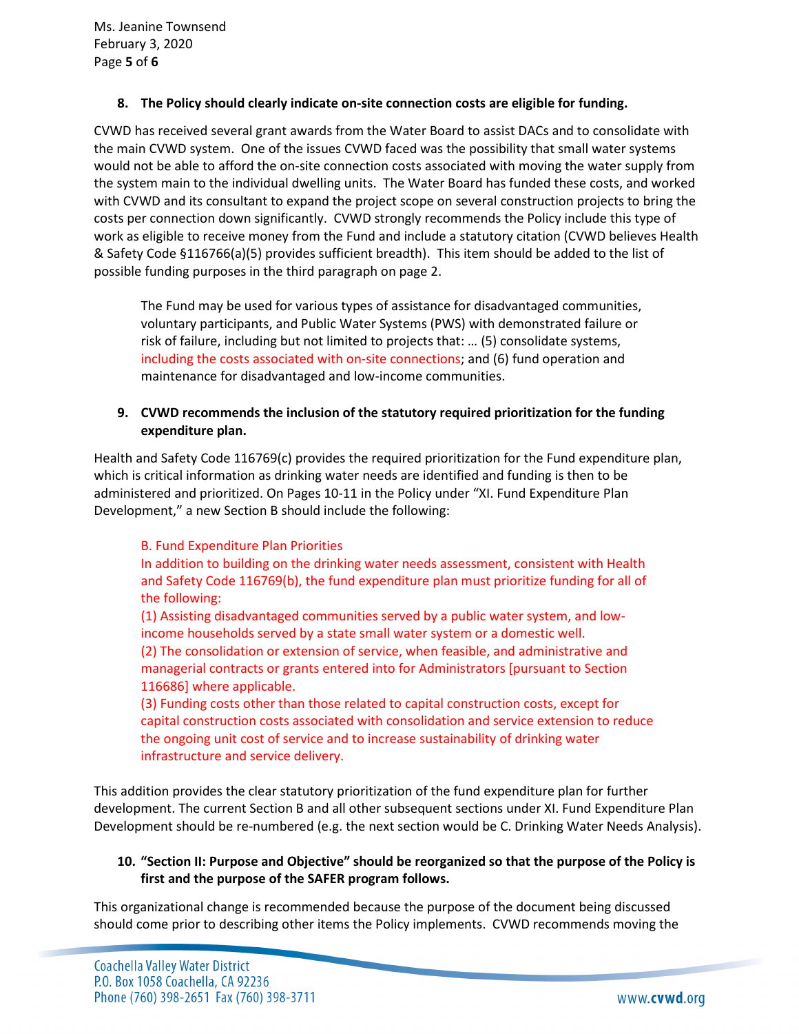#### **8. The Policy should clearly indicate on-site connection costs are eligible for funding.**

CVWD has received several grant awards from the Water Board to assist DACs and to consolidate with the main CVWD system. One of the issues CVWD faced was the possibility that small water systems would not be able to afford the on-site connection costs associated with moving the water supply from the system main to the individual dwelling units. The Water Board has funded these costs, and worked with CVWD and its consultant to expand the project scope on several construction projects to bring the costs per connection down significantly. CVWD strongly recommends the Policy include this type of work as eligible to receive money from the Fund and include a statutory citation (CVWD believes Health & Safety Code §116766(a)(5) provides sufficient breadth). This item should be added to the list of possible funding purposes in the third paragraph on page 2.

The Fund may be used for various types of assistance for disadvantaged communities, voluntary participants, and Public Water Systems (PWS) with demonstrated failure or risk of failure, including but not limited to projects that: … (5) consolidate systems, including the costs associated with on-site connections; and (6) fund operation and maintenance for disadvantaged and low-income communities.

# **9. CVWD recommends the inclusion of the statutory required prioritization for the funding expenditure plan.**

Health and Safety Code 116769(c) provides the required prioritization for the Fund expenditure plan, which is critical information as drinking water needs are identified and funding is then to be administered and prioritized. On Pages 10-11 in the Policy under "XI. Fund Expenditure Plan Development," a new Section B should include the following:

### B. Fund Expenditure Plan Priorities

In addition to building on the drinking water needs assessment, consistent with Health and Safety Code 116769(b), the fund expenditure plan must prioritize funding for all of the following:

(1) Assisting disadvantaged communities served by a public water system, and lowincome households served by a state small water system or a domestic well.

(2) The consolidation or extension of service, when feasible, and administrative and managerial contracts or grants entered into for Administrators [pursuant to Section 116686] where applicable.

(3) Funding costs other than those related to capital construction costs, except for capital construction costs associated with consolidation and service extension to reduce the ongoing unit cost of service and to increase sustainability of drinking water infrastructure and service delivery.

This addition provides the clear statutory prioritization of the fund expenditure plan for further development. The current Section B and all other subsequent sections under XI. Fund Expenditure Plan Development should be re-numbered (e.g. the next section would be C. Drinking Water Needs Analysis).

### **10. "Section II: Purpose and Objective" should be reorganized so that the purpose of the Policy is first and the purpose of the SAFER program follows.**

This organizational change is recommended because the purpose of the document being discussed should come prior to describing other items the Policy implements. CVWD recommends moving the